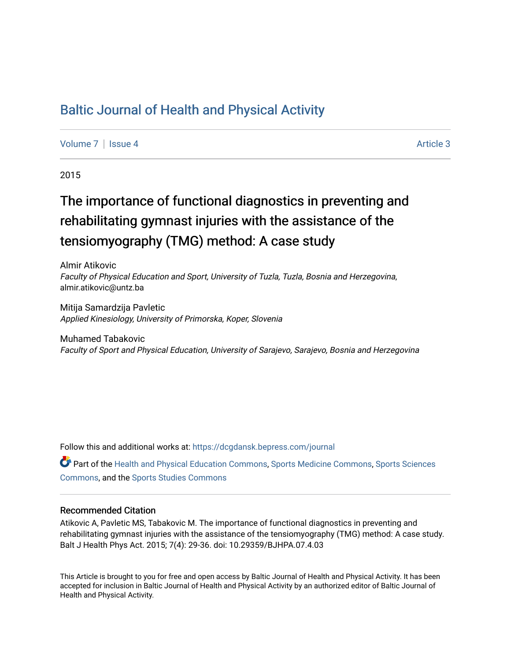## [Baltic Journal of Health and Physical Activity](https://dcgdansk.bepress.com/journal)

[Volume 7](https://dcgdansk.bepress.com/journal/vol7) | [Issue 4](https://dcgdansk.bepress.com/journal/vol7/iss4) Article 3

2015

# The importance of functional diagnostics in preventing and rehabilitating gymnast injuries with the assistance of the tensiomyography (TMG) method: A case study

Almir Atikovic Faculty of Physical Education and Sport, University of Tuzla, Tuzla, Bosnia and Herzegovina, almir.atikovic@untz.ba

Mitija Samardzija Pavletic Applied Kinesiology, University of Primorska, Koper, Slovenia

Muhamed Tabakovic Faculty of Sport and Physical Education, University of Sarajevo, Sarajevo, Bosnia and Herzegovina

Follow this and additional works at: [https://dcgdansk.bepress.com/journal](https://dcgdansk.bepress.com/journal?utm_source=dcgdansk.bepress.com%2Fjournal%2Fvol7%2Fiss4%2F3&utm_medium=PDF&utm_campaign=PDFCoverPages)

Part of the [Health and Physical Education Commons](http://network.bepress.com/hgg/discipline/1327?utm_source=dcgdansk.bepress.com%2Fjournal%2Fvol7%2Fiss4%2F3&utm_medium=PDF&utm_campaign=PDFCoverPages), [Sports Medicine Commons,](http://network.bepress.com/hgg/discipline/1331?utm_source=dcgdansk.bepress.com%2Fjournal%2Fvol7%2Fiss4%2F3&utm_medium=PDF&utm_campaign=PDFCoverPages) [Sports Sciences](http://network.bepress.com/hgg/discipline/759?utm_source=dcgdansk.bepress.com%2Fjournal%2Fvol7%2Fiss4%2F3&utm_medium=PDF&utm_campaign=PDFCoverPages) [Commons](http://network.bepress.com/hgg/discipline/759?utm_source=dcgdansk.bepress.com%2Fjournal%2Fvol7%2Fiss4%2F3&utm_medium=PDF&utm_campaign=PDFCoverPages), and the [Sports Studies Commons](http://network.bepress.com/hgg/discipline/1198?utm_source=dcgdansk.bepress.com%2Fjournal%2Fvol7%2Fiss4%2F3&utm_medium=PDF&utm_campaign=PDFCoverPages) 

#### Recommended Citation

Atikovic A, Pavletic MS, Tabakovic M. The importance of functional diagnostics in preventing and rehabilitating gymnast injuries with the assistance of the tensiomyography (TMG) method: A case study. Balt J Health Phys Act. 2015; 7(4): 29-36. doi: 10.29359/BJHPA.07.4.03

This Article is brought to you for free and open access by Baltic Journal of Health and Physical Activity. It has been accepted for inclusion in Baltic Journal of Health and Physical Activity by an authorized editor of Baltic Journal of Health and Physical Activity.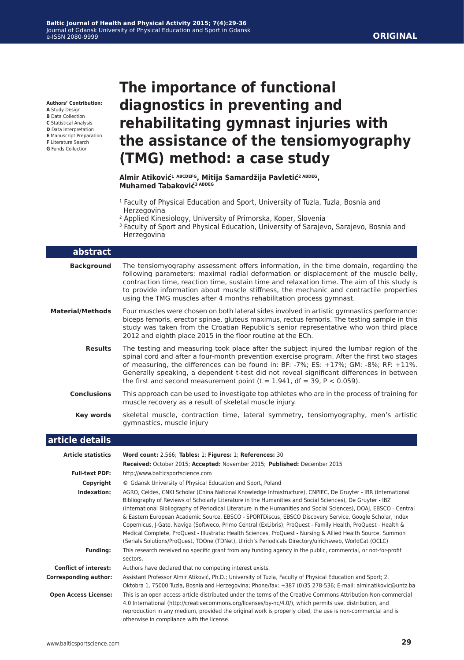**Authors' Contribution:**

- **A** Study Design **B** Data Collection
- **C** Statistical Analysis
- **D** Data Interpretation
- **E** Manuscript Preparation
- **F** Literature Search
- **G** Funds Collection

# **The importance of functional diagnostics in preventing and rehabilitating gymnast injuries with the assistance of the tensiomyography (TMG) method: a case study**

**Almir Atiković<sup>1</sup> ABCDEFG, Mitija Samardžija Pavletić2 ABDEG, Muhamed Tabaković3 ABDEG**

- <sup>1</sup> Faculty of Physical Education and Sport, University of Tuzla, Tuzla, Bosnia and Herzegovina
- 2 Applied Kinesiology, University of Primorska, Koper, Slovenia
- <sup>3</sup> Faculty of Sport and Physical Education, University of Sarajevo, Sarajevo, Bosnia and Herzegovina

| abstract                     |                                                                                                                                                                                                                                                                                                                                                                                                                                                                                                                                                                                                                                                                                                                                                                                                      |
|------------------------------|------------------------------------------------------------------------------------------------------------------------------------------------------------------------------------------------------------------------------------------------------------------------------------------------------------------------------------------------------------------------------------------------------------------------------------------------------------------------------------------------------------------------------------------------------------------------------------------------------------------------------------------------------------------------------------------------------------------------------------------------------------------------------------------------------|
| <b>Background</b>            | The tensiomyography assessment offers information, in the time domain, regarding the<br>following parameters: maximal radial deformation or displacement of the muscle belly,<br>contraction time, reaction time, sustain time and relaxation time. The aim of this study is<br>to provide information about muscle stiffness, the mechanic and contractile properties<br>using the TMG muscles after 4 months rehabilitation process gymnast.                                                                                                                                                                                                                                                                                                                                                       |
| <b>Material/Methods</b>      | Four muscles were chosen on both lateral sides involved in artistic gymnastics performance:<br>biceps femoris, erector spinae, gluteus maximus, rectus femoris. The testing sample in this<br>study was taken from the Croatian Republic's senior representative who won third place<br>2012 and eighth place 2015 in the floor routine at the ECh.                                                                                                                                                                                                                                                                                                                                                                                                                                                  |
| <b>Results</b>               | The testing and measuring took place after the subject injured the lumbar region of the<br>spinal cord and after a four-month prevention exercise program. After the first two stages<br>of measuring, the differences can be found in: BF: -7%; ES: +17%; GM: -8%; RF: +11%.<br>Generally speaking, a dependent t-test did not reveal significant differences in between<br>the first and second measurement point ( $t = 1.941$ , df = 39, P < 0.059).                                                                                                                                                                                                                                                                                                                                             |
| <b>Conclusions</b>           | This approach can be used to investigate top athletes who are in the process of training for<br>muscle recovery as a result of skeletal muscle injury.                                                                                                                                                                                                                                                                                                                                                                                                                                                                                                                                                                                                                                               |
| <b>Key words</b>             | skeletal muscle, contraction time, lateral symmetry, tensiomyography, men's artistic<br>gymnastics, muscle injury                                                                                                                                                                                                                                                                                                                                                                                                                                                                                                                                                                                                                                                                                    |
| article details              |                                                                                                                                                                                                                                                                                                                                                                                                                                                                                                                                                                                                                                                                                                                                                                                                      |
| <b>Article statistics</b>    | Word count: 2,566; Tables: 1; Figures: 1; References: 30<br>Received: October 2015; Accepted: November 2015; Published: December 2015                                                                                                                                                                                                                                                                                                                                                                                                                                                                                                                                                                                                                                                                |
| <b>Full-text PDF:</b>        | http://www.balticsportscience.com                                                                                                                                                                                                                                                                                                                                                                                                                                                                                                                                                                                                                                                                                                                                                                    |
| Copyright                    | © Gdansk University of Physical Education and Sport, Poland                                                                                                                                                                                                                                                                                                                                                                                                                                                                                                                                                                                                                                                                                                                                          |
| Indexation:                  | AGRO, Celdes, CNKI Scholar (China National Knowledge Infrastructure), CNPIEC, De Gruyter - IBR (International<br>Bibliography of Reviews of Scholarly Literature in the Humanities and Social Sciences), De Gruyter - IBZ<br>(International Bibliography of Periodical Literature in the Humanities and Social Sciences), DOAJ, EBSCO - Central<br>& Eastern European Academic Source, EBSCO - SPORTDiscus, EBSCO Discovery Service, Google Scholar, Index<br>Copernicus, J-Gate, Naviga (Softweco, Primo Central (ExLibris), ProQuest - Family Health, ProQuest - Health &<br>Medical Complete, ProQuest - Illustrata: Health Sciences, ProQuest - Nursing & Allied Health Source, Summon<br>(Serials Solutions/ProQuest, TDOne (TDNet), Ulrich's Periodicals Directory/ulrichsweb, WorldCat (OCLC) |
| <b>Funding:</b>              | This research received no specific grant from any funding agency in the public, commercial, or not-for-profit<br>sectors.                                                                                                                                                                                                                                                                                                                                                                                                                                                                                                                                                                                                                                                                            |
| <b>Conflict of interest:</b> | Authors have declared that no competing interest exists.                                                                                                                                                                                                                                                                                                                                                                                                                                                                                                                                                                                                                                                                                                                                             |
| <b>Corresponding author:</b> | Assistant Professor Almir Atiković, Ph.D.; University of Tuzla, Faculty of Physical Education and Sport; 2.<br>Oktobra 1, 75000 Tuzla, Bosnia and Herzegovina; Phone/fax: +387 (0)35 278-536; E-mail: almir.atikovic@untz.ba                                                                                                                                                                                                                                                                                                                                                                                                                                                                                                                                                                         |
| <b>Open Access License:</b>  | This is an open access article distributed under the terms of the Creative Commons Attribution-Non-commercial<br>4.0 International (http://creativecommons.org/licenses/by-nc/4.0/), which permits use, distribution, and<br>reproduction in any medium, provided the original work is properly cited, the use is non-commercial and is<br>otherwise in compliance with the license.                                                                                                                                                                                                                                                                                                                                                                                                                 |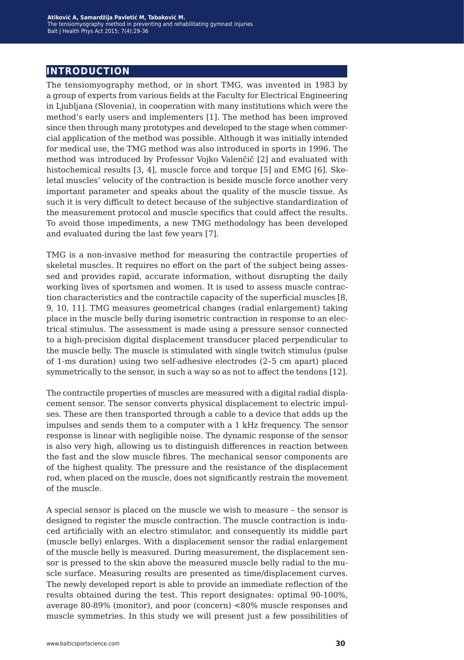## **introduction**

The tensiomyography method, or in short TMG, was invented in 1983 by a group of experts from various fields at the Faculty for Electrical Engineering in Ljubljana (Slovenia), in cooperation with many institutions which were the method's early users and implementers [1]. The method has been improved since then through many prototypes and developed to the stage when commercial application of the method was possible. Although it was initially intended for medical use, the TMG method was also introduced in sports in 1996. The method was introduced by Professor Vojko Valenčič [2] and evaluated with histochemical results  $[3, 4]$ , muscle force and torque  $[5]$  and EMG  $[6]$ . Skeletal muscles' velocity of the contraction is beside muscle force another very important parameter and speaks about the quality of the muscle tissue. As such it is very difficult to detect because of the subjective standardization of the measurement protocol and muscle specifics that could affect the results. To avoid those impediments, a new TMG methodology has been developed and evaluated during the last few years [7].

TMG is a non-invasive method for measuring the contractile properties of skeletal muscles. It requires no effort on the part of the subject being assessed and provides rapid, accurate information, without disrupting the daily working lives of sportsmen and women. It is used to assess muscle contraction characteristics and the contractile capacity of the superficial muscles [8, 9, 10, 11]. TMG measures geometrical changes (radial enlargement) taking place in the muscle belly during isometric contraction in response to an electrical stimulus. The assessment is made using a pressure sensor connected to a high-precision digital displacement transducer placed perpendicular to the muscle belly. The muscle is stimulated with single twitch stimulus (pulse of 1-ms duration) using two self-adhesive electrodes (2–5 cm apart) placed symmetrically to the sensor, in such a way so as not to affect the tendons [12].

The contractile properties of muscles are measured with a digital radial displacement sensor. The sensor converts physical displacement to electric impulses. These are then transported through a cable to a device that adds up the impulses and sends them to a computer with a 1 kHz frequency. The sensor response is linear with negligible noise. The dynamic response of the sensor is also very high, allowing us to distinguish differences in reaction between the fast and the slow muscle fibres. The mechanical sensor components are of the highest quality. The pressure and the resistance of the displacement rod, when placed on the muscle, does not significantly restrain the movement of the muscle.

A special sensor is placed on the muscle we wish to measure – the sensor is designed to register the muscle contraction. The muscle contraction is induced artificially with an electro stimulator, and consequently its middle part (muscle belly) enlarges. With a displacement sensor the radial enlargement of the muscle belly is measured. During measurement, the displacement sensor is pressed to the skin above the measured muscle belly radial to the muscle surface. Measuring results are presented as time/displacement curves. The newly developed report is able to provide an immediate reflection of the results obtained during the test. This report designates: optimal 90-100%, average 80-89% (monitor), and poor (concern) <80% muscle responses and muscle symmetries. In this study we will present just a few possibilities of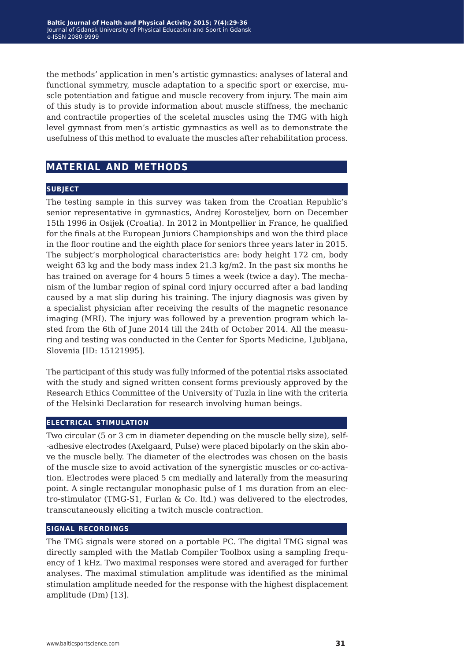the methods' application in men's artistic gymnastics: analyses of lateral and functional symmetry, muscle adaptation to a specific sport or exercise, muscle potentiation and fatigue and muscle recovery from injury. The main aim of this study is to provide information about muscle stiffness, the mechanic and contractile properties of the sceletal muscles using the TMG with high level gymnast from men's artistic gymnastics as well as to demonstrate the usefulness of this method to evaluate the muscles after rehabilitation process.

## **material and methods**

#### **subject**

The testing sample in this survey was taken from the Croatian Republic's senior representative in gymnastics, Andrej Korosteljev, born on December 15th 1996 in Osijek (Croatia). In 2012 in Montpellier in France, he qualified for the finals at the European Juniors Championships and won the third place in the floor routine and the eighth place for seniors three years later in 2015. The subject's morphological characteristics are: body height 172 cm, body weight 63 kg and the body mass index 21.3 kg/m2. In the past six months he has trained on average for 4 hours 5 times a week (twice a day). The mechanism of the lumbar region of spinal cord injury occurred after a bad landing caused by a mat slip during his training. The injury diagnosis was given by a specialist physician after receiving the results of the magnetic resonance imaging (MRI). The injury was followed by a prevention program which lasted from the 6th of June 2014 till the 24th of October 2014. All the measuring and testing was conducted in the Center for Sports Medicine, Ljubljana, Slovenia [ID: 15121995].

The participant of this study was fully informed of the potential risks associated with the study and signed written consent forms previously approved by the Research Ethics Committee of the University of Tuzla in line with the criteria of the Helsinki Declaration for research involving human beings.

#### **electrical stimulation**

Two circular (5 or 3 cm in diameter depending on the muscle belly size), self- -adhesive electrodes (Axelgaard, Pulse) were placed bipolarly on the skin above the muscle belly. The diameter of the electrodes was chosen on the basis of the muscle size to avoid activation of the synergistic muscles or co-activation. Electrodes were placed 5 cm medially and laterally from the measuring point. A single rectangular monophasic pulse of 1 ms duration from an electro-stimulator (TMG-S1, Furlan & Co. ltd.) was delivered to the electrodes, transcutaneously eliciting a twitch muscle contraction.

#### **signal recordings**

The TMG signals were stored on a portable PC. The digital TMG signal was directly sampled with the Matlab Compiler Toolbox using a sampling frequency of 1 kHz. Two maximal responses were stored and averaged for further analyses. The maximal stimulation amplitude was identified as the minimal stimulation amplitude needed for the response with the highest displacement amplitude (Dm) [13].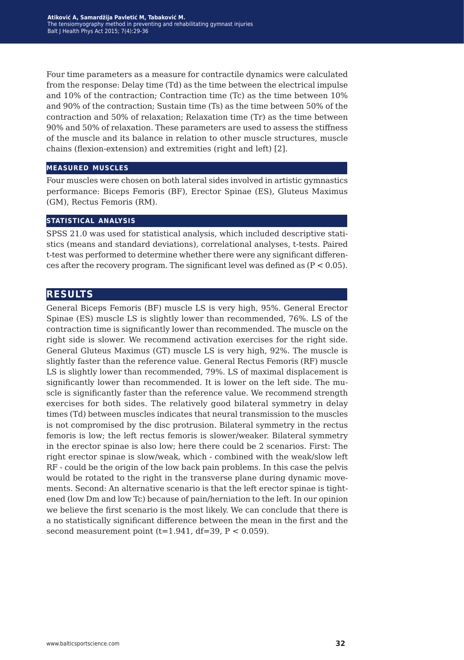Four time parameters as a measure for contractile dynamics were calculated from the response: Delay time (Td) as the time between the electrical impulse and 10% of the contraction; Contraction time (Tc) as the time between 10% and 90% of the contraction; Sustain time (Ts) as the time between 50% of the contraction and 50% of relaxation; Relaxation time (Tr) as the time between 90% and 50% of relaxation. These parameters are used to assess the stiffness of the muscle and its balance in relation to other muscle structures, muscle chains (flexion-extension) and extremities (right and left) [2].

#### **measured muscles**

Four muscles were chosen on both lateral sides involved in artistic gymnastics performance: Biceps Femoris (BF), Erector Spinae (ES), Gluteus Maximus (GM), Rectus Femoris (RM).

#### **statistical analysis**

SPSS 21.0 was used for statistical analysis, which included descriptive statistics (means and standard deviations), correlational analyses, t-tests. Paired t-test was performed to determine whether there were any significant differences after the recovery program. The significant level was defined as  $(P < 0.05)$ .

## **results**

General Biceps Femoris (BF) muscle LS is very high, 95%. General Erector Spinae (ES) muscle LS is slightly lower than recommended, 76%. LS of the contraction time is significantly lower than recommended. The muscle on the right side is slower. We recommend activation exercises for the right side. General Gluteus Maximus (GT) muscle LS is very high, 92%. The muscle is slightly faster than the reference value. General Rectus Femoris (RF) muscle LS is slightly lower than recommended, 79%. LS of maximal displacement is significantly lower than recommended. It is lower on the left side. The muscle is significantly faster than the reference value. We recommend strength exercises for both sides. The relatively good bilateral symmetry in delay times (Td) between muscles indicates that neural transmission to the muscles is not compromised by the disc protrusion. Bilateral symmetry in the rectus femoris is low; the left rectus femoris is slower/weaker. Bilateral symmetry in the erector spinae is also low; here there could be 2 scenarios. First: The right erector spinae is slow/weak, which - combined with the weak/slow left RF - could be the origin of the low back pain problems. In this case the pelvis would be rotated to the right in the transverse plane during dynamic movements. Second: An alternative scenario is that the left erector spinae is tightened (low Dm and low Tc) because of pain/herniation to the left. In our opinion we believe the first scenario is the most likely. We can conclude that there is a no statistically significant difference between the mean in the first and the second measurement point  $(t=1.941, df=39, P < 0.059)$ .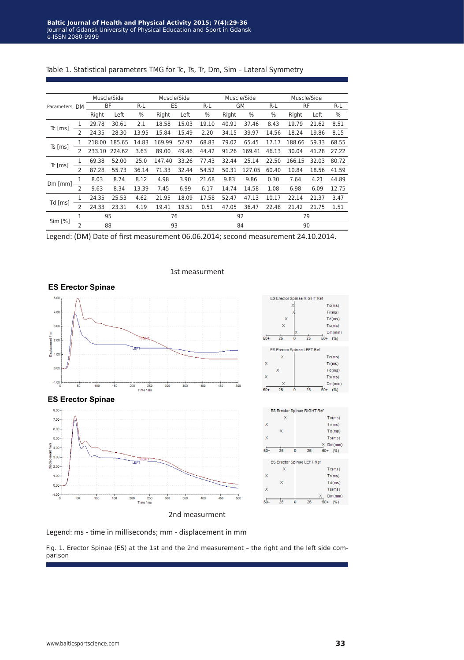| Parameters    | DM             | Muscle/Side |        |       | Muscle/Side |       |       |           | Muscle/Side | Muscle/Side |           |       |       |
|---------------|----------------|-------------|--------|-------|-------------|-------|-------|-----------|-------------|-------------|-----------|-------|-------|
|               |                | <b>BF</b>   |        | $R-L$ | <b>ES</b>   |       | $R-L$ | <b>GM</b> |             | $R-L$       | <b>RF</b> |       | $R-L$ |
|               |                | Right       | Left   | $\%$  | Right       | Left  | $\%$  | Right     | $\%$        | $\%$        | Right     | Left  | $\%$  |
| $Tc$ [ms]     | 1              | 29.78       | 30.61  | 2.1   | 18.58       | 15.03 | 19.10 | 40.91     | 37.46       | 8.43        | 19.79     | 21.62 | 8.51  |
|               | 2              | 24.35       | 28.30  | 13.95 | 15.84       | 15.49 | 2.20  | 34.15     | 39.97       | 14.56       | 18.24     | 19.86 | 8.15  |
| $Ts$ [ms]     | 1              | 218.00      | 185.65 | 14.83 | 169.99      | 52.97 | 68.83 | 79.02     | 65.45       | 17.17       | 188.66    | 59.33 | 68.55 |
|               | 2              | 233.10      | 224.62 | 3.63  | 89.00       | 49.46 | 44.42 | 91.26     | 169.41      | 46.13       | 30.04     | 41.28 | 27.22 |
| Tr[ms]        | 1              | 69.38       | 52.00  | 25.0  | 147.40      | 33.26 | 77.43 | 32.44     | 25.14       | 22.50       | 166.15    | 32.03 | 80.72 |
|               | 2              | 87.28       | 55.73  | 36.14 | 71.33       | 32.44 | 54.52 | 50.31     | 127.05      | 60.40       | 10.84     | 18.56 | 41.59 |
| $Dm$ [ $mm$ ] | 1              | 8.03        | 8.74   | 8.12  | 4.98        | 3.90  | 21.68 | 9.83      | 9.86        | 0.30        | 7.64      | 4.21  | 44.89 |
|               | $\overline{2}$ | 9.63        | 8.34   | 13.39 | 7.45        | 6.99  | 6.17  | 14.74     | 14.58       | 1.08        | 6.98      | 6.09  | 12.75 |
| $Td$ [ms]     | 1              | 24.35       | 25.53  | 4.62  | 21.95       | 18.09 | 17.58 | 52.47     | 47.13       | 10.17       | 22.14     | 21.37 | 3.47  |
|               | $\overline{2}$ | 24.33       | 23.31  | 4.19  | 19.41       | 19.51 | 0.51  | 47.05     | 36.47       | 22.48       | 21.42     | 21.75 | 1.51  |
| Sim [%]       | 1              | 95          |        |       | 76          |       |       | 92        |             | 79          |           |       |       |
|               | $\overline{2}$ | 88          |        |       | 93          |       |       | 84        |             | 90          |           |       |       |

Table 1. Statistical parameters TMG for Tc, Ts, Tr, Dm, Sim – Lateral Symmetry

Legend: (DM) Date of first measurement 06.06.2014; second measurement 24.10.2014.



#### 1st measurment

Legend: ms - time in milliseconds; mm - displacement in mm

Fig. 1. Erector Spinae (ES) at the 1st and the 2nd measurement – the right and the left side comparison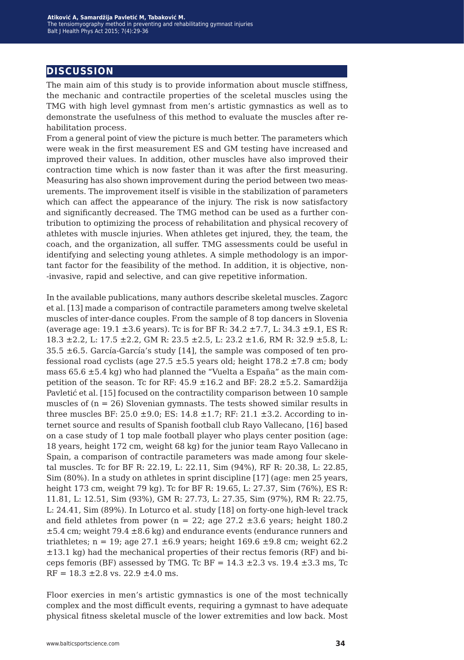## **discussion**

The main aim of this study is to provide information about muscle stiffness, the mechanic and contractile properties of the sceletal muscles using the TMG with high level gymnast from men's artistic gymnastics as well as to demonstrate the usefulness of this method to evaluate the muscles after rehabilitation process.

From a general point of view the picture is much better. The parameters which were weak in the first measurement ES and GM testing have increased and improved their values. In addition, other muscles have also improved their contraction time which is now faster than it was after the first measuring. Measuring has also shown improvement during the period between two measurements. The improvement itself is visible in the stabilization of parameters which can affect the appearance of the injury. The risk is now satisfactory and significantly decreased. The TMG method can be used as a further contribution to optimizing the process of rehabilitation and physical recovery of athletes with muscle injuries. When athletes get injured, they, the team, the coach, and the organization, all suffer. TMG assessments could be useful in identifying and selecting young athletes. A simple methodology is an important factor for the feasibility of the method. In addition, it is objective, non- -invasive, rapid and selective, and can give repetitive information.

In the available publications, many authors describe skeletal muscles. Zagorc et al. [13] made a comparison of contractile parameters among twelve skeletal muscles of inter-dance couples. From the sample of 8 top dancers in Slovenia (average age:  $19.1 \pm 3.6$  years). Tc is for BF R:  $34.2 \pm 7.7$ , L:  $34.3 \pm 9.1$ , ES R: 18.3 ±2.2, L: 17.5 ±2.2, GM R: 23.5 ±2.5, L: 23.2 ±1.6, RM R: 32.9 ±5.8, L:  $35.5 \pm 6.5$ . García-García's study [14], the sample was composed of ten professional road cyclists (age 27.5  $\pm$ 5.5 years old; height 178.2  $\pm$ 7.8 cm; body mass  $65.6 \pm 5.4$  kg) who had planned the "Vuelta a España" as the main competition of the season. Tc for RF:  $45.9 \pm 16.2$  and BF:  $28.2 \pm 5.2$ . Samardžija Pavletić et al. [15] focused on the contractility comparison between 10 sample muscles of  $(n = 26)$  Slovenian gymnasts. The tests showed similar results in three muscles BF: 25.0  $\pm$ 9.0; ES: 14.8  $\pm$ 1.7; RF: 21.1  $\pm$ 3.2. According to internet source and results of Spanish football club Rayo Vallecano, [16] based on a case study of 1 top male football player who plays center position (age: 18 years, height 172 cm, weight 68 kg) for the junior team Rayo Vallecano in Spain, a comparison of contractile parameters was made among four skeletal muscles. Tc for BF R: 22.19, L: 22.11, Sim (94%), RF R: 20.38, L: 22.85, Sim (80%). In a study on athletes in sprint discipline [17] (age: men 25 years, height 173 cm, weight 79 kg). Tc for BF R: 19.65, L: 27.37, Sim (76%), ES R: 11.81, L: 12.51, Sim (93%), GM R: 27.73, L: 27.35, Sim (97%), RM R: 22.75, L: 24.41, Sim (89%). In Loturco et al. study [18] on forty-one high-level track and field athletes from power ( $n = 22$ ; age 27.2  $\pm 3.6$  years; height 180.2  $\pm$ 5.4 cm; weight 79.4  $\pm$ 8.6 kg) and endurance events (endurance runners and triathletes;  $n = 19$ ; age 27.1  $\pm 6.9$  years; height 169.6  $\pm 9.8$  cm; weight 62.2  $\pm$ 13.1 kg) had the mechanical properties of their rectus femoris (RF) and biceps femoris (BF) assessed by TMG. Tc BF =  $14.3 \pm 2.3$  vs.  $19.4 \pm 3.3$  ms, Tc  $RF = 18.3 \pm 2.8$  vs. 22.9  $\pm 4.0$  ms.

Floor exercies in men's artistic gymnastics is one of the most technically complex and the most difficult events, requiring a gymnast to have adequate physical fitness skeletal muscle of the lower extremities and low back. Most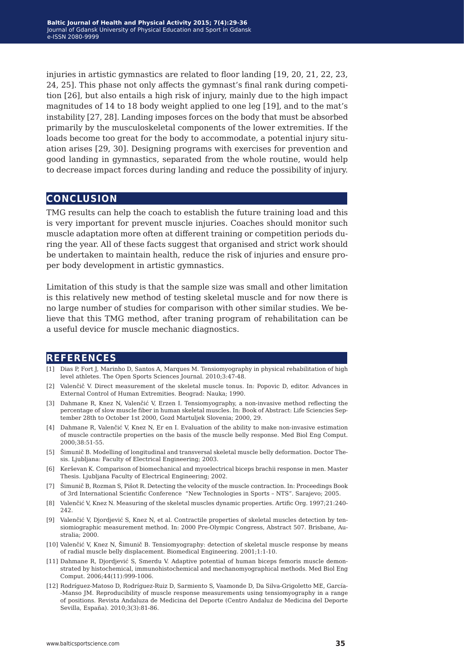injuries in artistic gymnastics are related to floor landing [19, 20, 21, 22, 23, 24, 25]. This phase not only affects the gymnast's final rank during competition [26], but also entails a high risk of injury, mainly due to the high impact magnitudes of 14 to 18 body weight applied to one leg [19], and to the mat's instability [27, 28]. Landing imposes forces on the body that must be absorbed primarily by the musculoskeletal components of the lower extremities. If the loads become too great for the body to accommodate, a potential injury situation arises [29, 30]. Designing programs with exercises for prevention and good landing in gymnastics, separated from the whole routine, would help to decrease impact forces during landing and reduce the possibility of injury.

### **conclusion**

TMG results can help the coach to establish the future training load and this is very important for prevent muscle injuries. Coaches should monitor such muscle adaptation more often at different training or competition periods during the year. All of these facts suggest that organised and strict work should be undertaken to maintain health, reduce the risk of injuries and ensure proper body development in artistic gymnastics.

Limitation of this study is that the sample size was small and other limitation is this relatively new method of testing skeletal muscle and for now there is no large number of studies for comparison with other similar studies. We believe that this TMG method, after traning program of rehabilitation can be a useful device for muscle mechanic diagnostics.

#### **references**

- [1] Dias P, Fort J, Marinho D, Santos A, Marques M. Tensiomyography in physical rehabilitation of high level athletes. The Open Sports Sciences Journal. 2010;3:47-48.
- [2] Valenčič V. Direct measurement of the skeletal muscle tonus. In: Popovic D, editor. Advances in External Control of Human Extremities. Beograd: Nauka; 1990.
- [3] Dahmane R, Knez N, Valenčić V, Erzen I. Tensiomyography, a non-invasive method reflecting the percentage of slow muscle fiber in human skeletal muscles. In: Book of Abstract: Life Sciencies September 28th to October 1st 2000, Gozd Martuljek Slovenia; 2000, 29.
- [4] Dahmane R, Valenčić V, Knez N, Er en I. Evaluation of the ability to make non-invasive estimation of muscle contractile properties on the basis of the muscle belly response. Med Biol Eng Comput. 2000;38:51-55.
- [5] Šimunič B. Modelling of longitudinal and transversal skeletal muscle belly deformation. Doctor Thesis. Ljubljana: Faculty of Electrical Engineering; 2003.
- [6] Kerševan K. Comparison of biomechanical and myoelectrical biceps brachii response in men. Master Thesis. Ljubljana Faculty of Electrical Engineering; 2002.
- [7] Šimunič B, Rozman S, Pišot R. Detecting the velocity of the muscle contraction. In: Proceedings Book of 3rd International Scientific Conference "New Technologies in Sports – NTS". Sarajevo; 2005.
- [8] Valenčić V, Knez N. Measuring of the skeletal muscles dynamic properties. Artific Org. 1997;21:240- 242.
- [9] Valenčić V, Djordjević S, Knez N, et al. Contractile properties of skeletal muscles detection by tensiomiographic measurement method. In: 2000 Pre-Olympic Congress, Abstract 507. Brisbane, Australia; 2000.
- [10] Valenčić V, Knez N, Šimunič B. Tensiomyography: detection of skeletal muscle response by means of radial muscle belly displacement. Biomedical Engineering. 2001;1:1-10.
- [11] Dahmane R, Djordjević S, Smerdu V. Adaptive potential of human biceps femoris muscle demonstrated by histochemical, immunohistochemical and mechanomyographical methods. Med Biol Eng Comput. 2006;44(11):999-1006.
- [12] Rodríguez-Matoso D, Rodríguez-Ruiz D, Sarmiento S, Vaamonde D, Da Silva-Grigoletto ME, García- -Manso JM. Reproducibility of muscle response measurements using tensiomyography in a range of positions. Revista Andaluza de Medicina del Deporte (Centro Andaluz de Medicina del Deporte Sevilla, España). 2010;3(3):81-86.